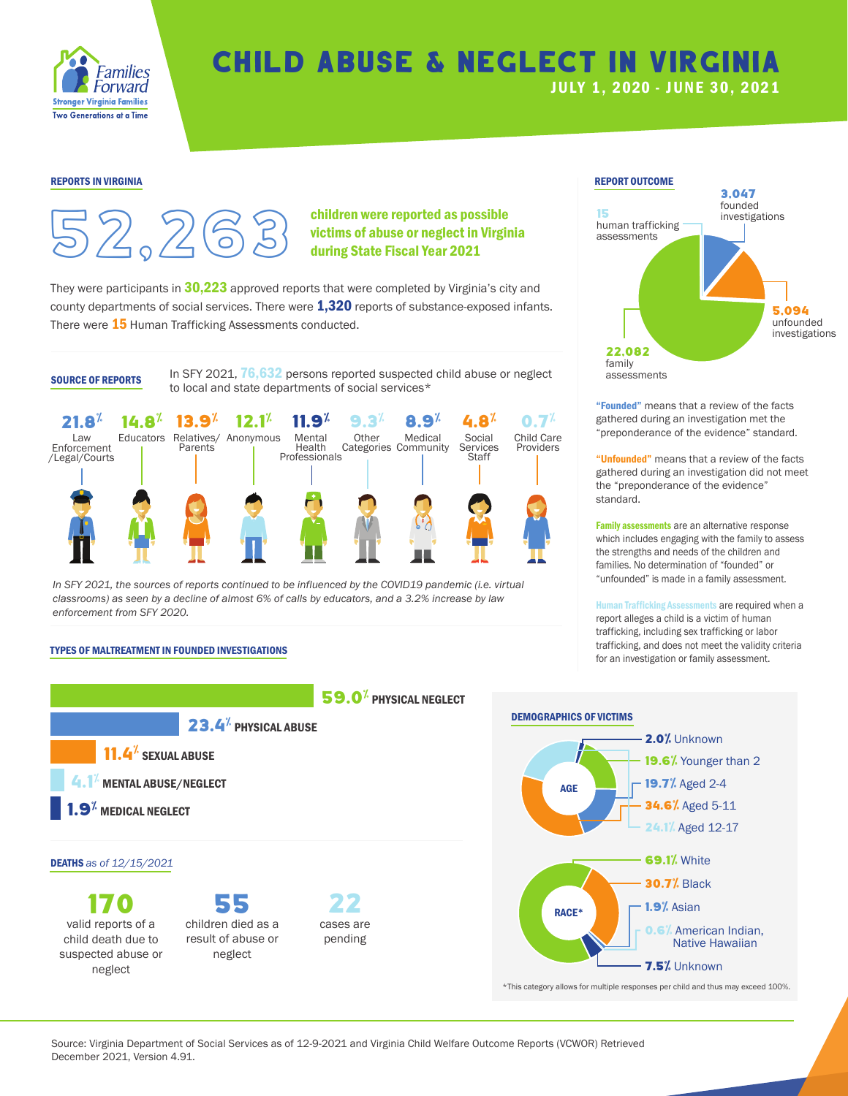

# Child Abuse & Neglect in Virginia JULY 1, 2020 - JUNE 30, 202 1



children were reported as possible victims of abuse or neglect in Virginia during State Fiscal Year 2021

They were participants in  $30,223$  approved reports that were completed by Virginia's city and county departments of social services. There were **1,320** reports of substance-exposed infants. There were 15 Human Trafficking Assessments conducted.

**SOURCE OF REPORTS** In SFY 2021,  $76,632$  persons reported suspected child abuse or neglect assessments to local and state departments of social services\*



In SFY 2021, the sources of reports continued to be influenced by the COVID19 pandemic (i.e. virtual *classrooms) as seen by a decline of almost 6% of calls by educators, and a 3.2% increase by law enforcement from SFY 2020.*

### TYPES OF MALTREATMENT IN FOUNDED INVESTIGATIONS



170 valid reports of a child death due to suspected abuse or neglect

55 children died as a result of abuse or neglect



"Founded" means that a review of the facts gathered during an investigation met the "preponderance of the evidence" standard.

"Unfounded" means that a review of the facts gathered during an investigation did not meet the "preponderance of the evidence" standard.

Family assessments are an alternative response which includes engaging with the family to assess the strengths and needs of the children and families. No determination of "founded" or "unfounded" is made in a family assessment.

Human Trafficking Assessments are required when a report alleges a child is a victim of human trafficking, including sex trafficking or labor trafficking, and does not meet the validity criteria for an investigation or family assessment.



Source: Virginia Department of Social Services as of 12-9-2021 and Virginia Child Welfare Outcome Reports (VCWOR) Retrieved December 2021, Version 4.91.

cases are pending